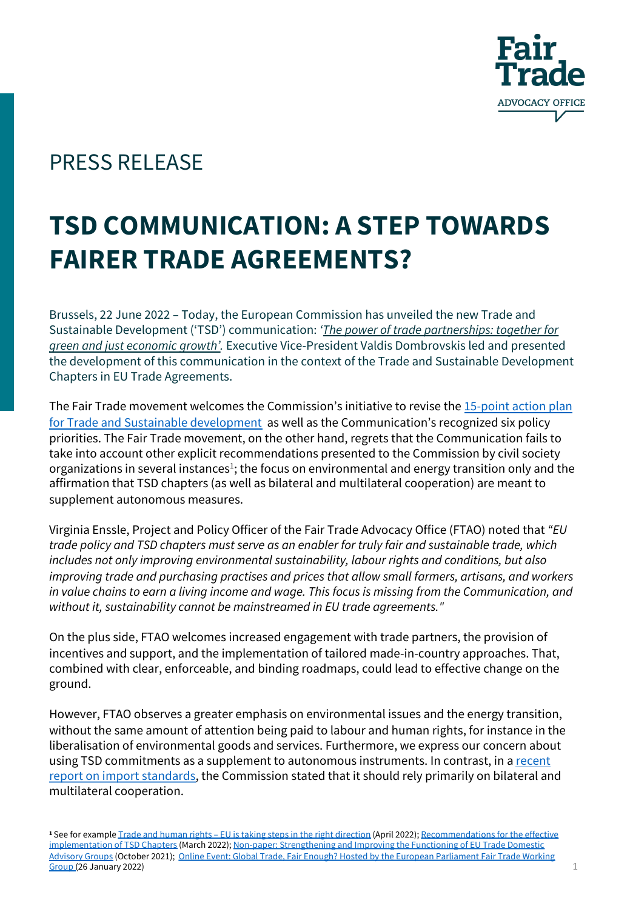

## PRESS RELEASE

## **TSD COMMUNICATION: A STEP TOWARDS FAIRER TRADE AGREEMENTS?**

Brussels, 22 June 2022 – [Today, the European Commission has unveiled the new Trade and](https://ec.europa.eu/commission/presscorner/detail/en/ip_22_3921)  Sustainable Development ('TS[D'](https://ec.europa.eu/commission/presscorner/detail/en/ip_22_3921)) communication: *'The power of trade partnerships: together for green and just economic growth'.* Executive Vice-President Valdis Dombrovskis led and presented the development of this communication in the context of the Trade and Sustainable Development Chapters in EU Trade Agreements.

The Fair Trade movement welcomes the Commission's initiative to revise the 15-point action plan for Trade and Sustainable development as well as the Communication's recognized six policy priorities. The Fair Trade movement, on the other hand, regrets that the Communication fails to take into account other explicit recommendations presented to the Commission by civil society organizations in several instances<sup>1</sup>; the focus on environmental and energy transition only and the affirmation that TSD chapters (as well as bilateral and multilateral cooperation) are meant to supplement autonomous measures.

Virginia Enssle, Project and Policy Officer of the Fair Trade Advocacy Office (FTAO) noted that *"EU trade policy and TSD chapters must serve as an enabler for truly fair and sustainable trade, which includes not only improving environmental sustainability, labour rights and conditions, but also improving trade and purchasing practises and prices that allow small farmers, artisans, and workers in value chains to earn a living income and wage. This focus is missing from the Communication, and without it, sustainability cannot be mainstreamed in EU trade agreements."*

On the plus side, FTAO welcomes increased engagement with trade partners, the provision of incentives and support, and the implementation of tailored made-in-country approaches. That, combined with clear, enforceable, and binding roadmaps, could lead to effective change on the ground.

However, FTAO observes a greater emphasis on environmental issues and the energy transition, without the same amount of attention being paid to labour and human rights, for instance in the liberalisation of environmental goods and services. Furthermore, we express our concern about [using TSD commitments as a supplement to autonomous instruments. In contrast, in a recent](https://ec.europa.eu/food/system/files/2022-06/ia_environmental-standards-aw-report.pdf) report on import standards, the Commission stated that it should rely primarily on bilateral and multilateral cooperation.

**<sup>1</sup>** See for example Trade and human rights – [EU is taking steps in the right direction](https://www.tsdplatform.eu/publications) (April 2022); Recommendations for the effective implementation of TSD Chapters (March 2022); [Non-paper: Strengthening and Improving the Functioning of EU Trade Domestic](https://fairtrade-advocacy.org/media-centre/news/global-trade-fair-enough-hosted-by-the-european-parliament-fair-trade-working-group/)  Advisory Groups (October 2021); Online Event: Global Trade, Fair Enough? Hosted by the European Parliament Fair Trade Working  $Group(26\,January\,2022)$  1